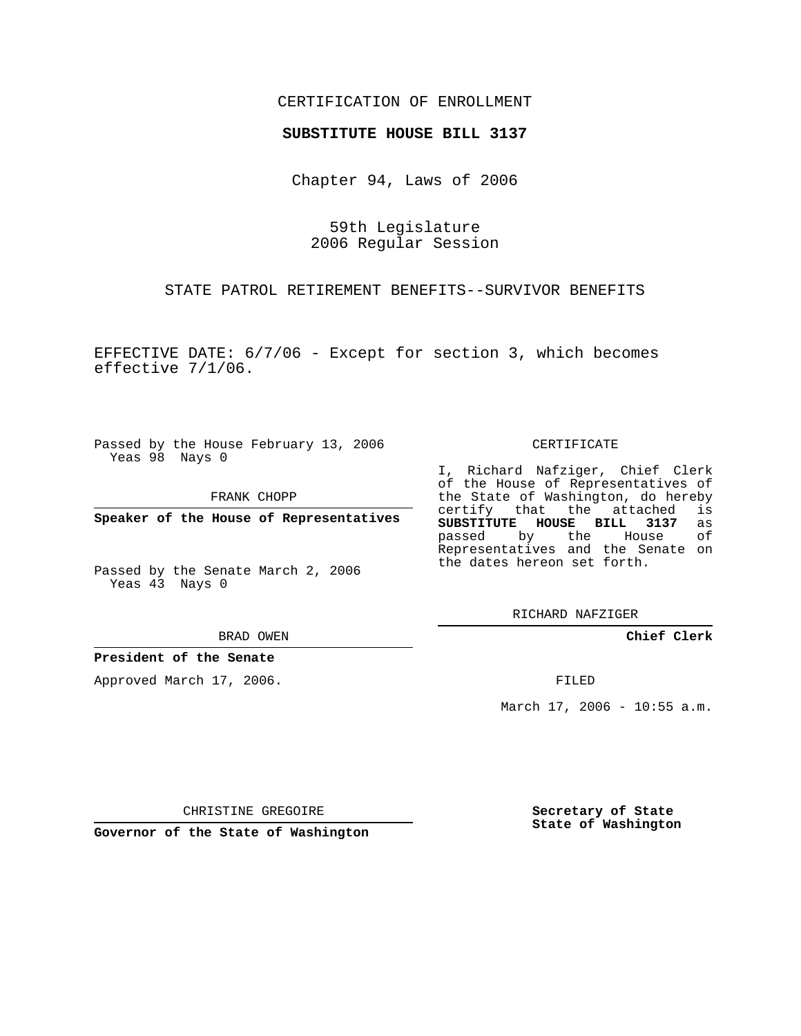### CERTIFICATION OF ENROLLMENT

#### **SUBSTITUTE HOUSE BILL 3137**

Chapter 94, Laws of 2006

59th Legislature 2006 Regular Session

STATE PATROL RETIREMENT BENEFITS--SURVIVOR BENEFITS

EFFECTIVE DATE: 6/7/06 - Except for section 3, which becomes effective 7/1/06.

Passed by the House February 13, 2006 Yeas 98 Nays 0

FRANK CHOPP

**Speaker of the House of Representatives**

Passed by the Senate March 2, 2006 Yeas 43 Nays 0

BRAD OWEN

#### **President of the Senate**

Approved March 17, 2006.

CERTIFICATE

I, Richard Nafziger, Chief Clerk of the House of Representatives of the State of Washington, do hereby<br>certify that the attached is certify that the attached **SUBSTITUTE HOUSE BILL 3137** as passed by the House of Representatives and the Senate on the dates hereon set forth.

RICHARD NAFZIGER

**Chief Clerk**

FILED

March 17, 2006 - 10:55 a.m.

CHRISTINE GREGOIRE

**Governor of the State of Washington**

**Secretary of State State of Washington**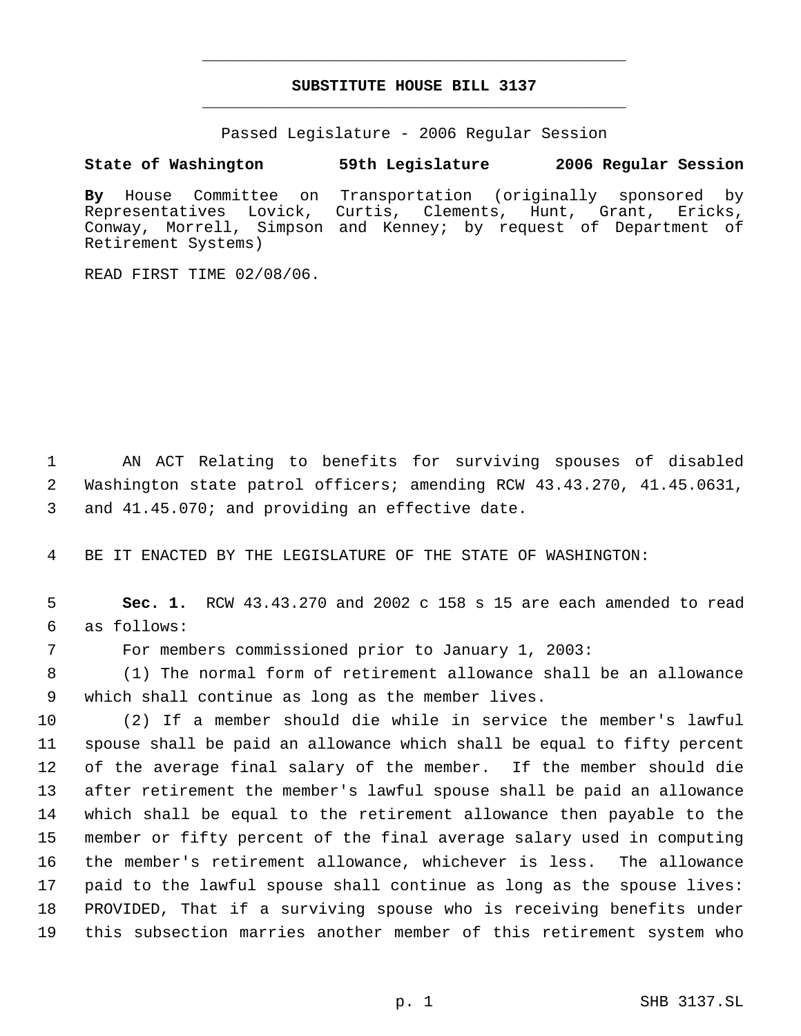# **SUBSTITUTE HOUSE BILL 3137** \_\_\_\_\_\_\_\_\_\_\_\_\_\_\_\_\_\_\_\_\_\_\_\_\_\_\_\_\_\_\_\_\_\_\_\_\_\_\_\_\_\_\_\_\_

\_\_\_\_\_\_\_\_\_\_\_\_\_\_\_\_\_\_\_\_\_\_\_\_\_\_\_\_\_\_\_\_\_\_\_\_\_\_\_\_\_\_\_\_\_

Passed Legislature - 2006 Regular Session

## **State of Washington 59th Legislature 2006 Regular Session**

**By** House Committee on Transportation (originally sponsored by Representatives Lovick, Curtis, Clements, Hunt, Grant, Ericks, Conway, Morrell, Simpson and Kenney; by request of Department of Retirement Systems)

READ FIRST TIME 02/08/06.

 AN ACT Relating to benefits for surviving spouses of disabled Washington state patrol officers; amending RCW 43.43.270, 41.45.0631, and 41.45.070; and providing an effective date.

BE IT ENACTED BY THE LEGISLATURE OF THE STATE OF WASHINGTON:

 **Sec. 1.** RCW 43.43.270 and 2002 c 158 s 15 are each amended to read as follows:

For members commissioned prior to January 1, 2003:

 (1) The normal form of retirement allowance shall be an allowance which shall continue as long as the member lives.

 (2) If a member should die while in service the member's lawful spouse shall be paid an allowance which shall be equal to fifty percent of the average final salary of the member. If the member should die after retirement the member's lawful spouse shall be paid an allowance which shall be equal to the retirement allowance then payable to the member or fifty percent of the final average salary used in computing the member's retirement allowance, whichever is less. The allowance paid to the lawful spouse shall continue as long as the spouse lives: PROVIDED, That if a surviving spouse who is receiving benefits under this subsection marries another member of this retirement system who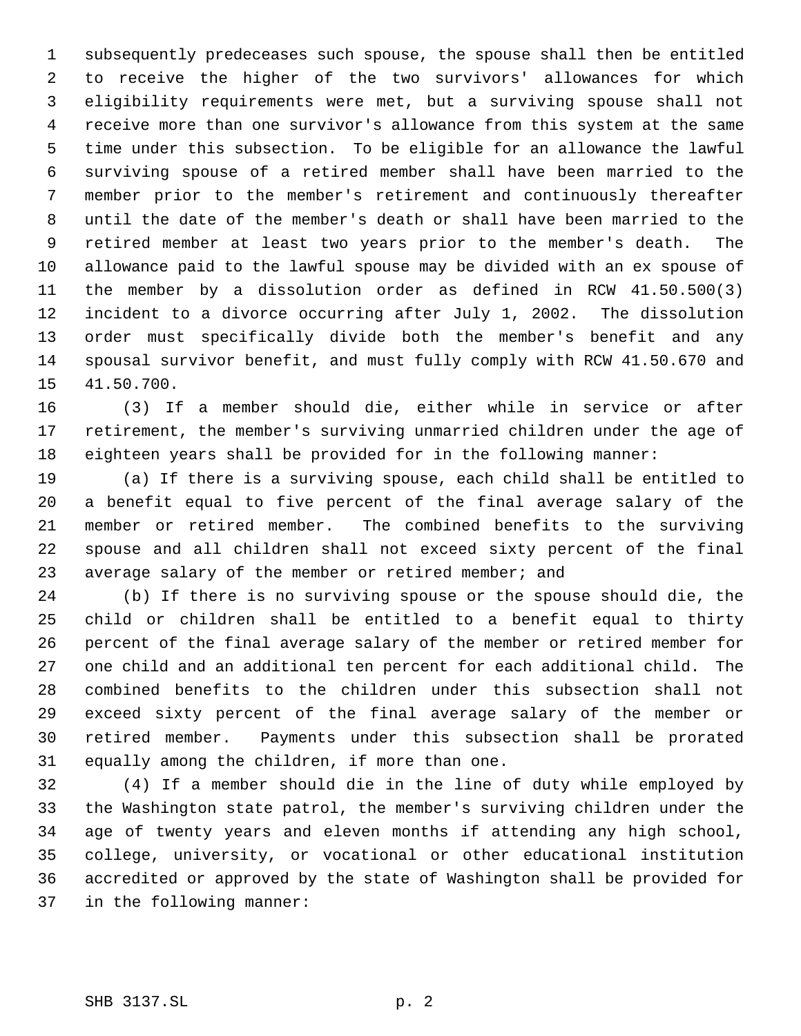subsequently predeceases such spouse, the spouse shall then be entitled to receive the higher of the two survivors' allowances for which eligibility requirements were met, but a surviving spouse shall not receive more than one survivor's allowance from this system at the same time under this subsection. To be eligible for an allowance the lawful surviving spouse of a retired member shall have been married to the member prior to the member's retirement and continuously thereafter until the date of the member's death or shall have been married to the retired member at least two years prior to the member's death. The allowance paid to the lawful spouse may be divided with an ex spouse of the member by a dissolution order as defined in RCW 41.50.500(3) incident to a divorce occurring after July 1, 2002. The dissolution order must specifically divide both the member's benefit and any spousal survivor benefit, and must fully comply with RCW 41.50.670 and 41.50.700.

 (3) If a member should die, either while in service or after retirement, the member's surviving unmarried children under the age of eighteen years shall be provided for in the following manner:

 (a) If there is a surviving spouse, each child shall be entitled to a benefit equal to five percent of the final average salary of the member or retired member. The combined benefits to the surviving spouse and all children shall not exceed sixty percent of the final 23 average salary of the member or retired member; and

 (b) If there is no surviving spouse or the spouse should die, the child or children shall be entitled to a benefit equal to thirty percent of the final average salary of the member or retired member for one child and an additional ten percent for each additional child. The combined benefits to the children under this subsection shall not exceed sixty percent of the final average salary of the member or retired member. Payments under this subsection shall be prorated equally among the children, if more than one.

 (4) If a member should die in the line of duty while employed by the Washington state patrol, the member's surviving children under the age of twenty years and eleven months if attending any high school, college, university, or vocational or other educational institution accredited or approved by the state of Washington shall be provided for in the following manner: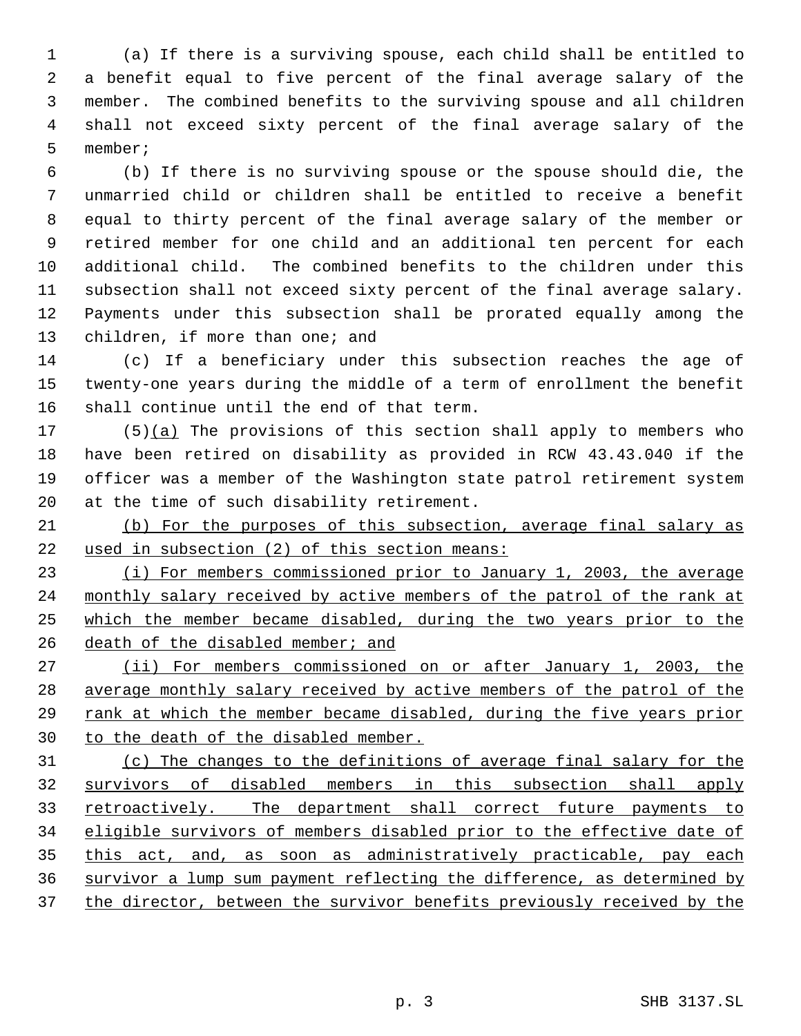(a) If there is a surviving spouse, each child shall be entitled to a benefit equal to five percent of the final average salary of the member. The combined benefits to the surviving spouse and all children shall not exceed sixty percent of the final average salary of the member;

 (b) If there is no surviving spouse or the spouse should die, the unmarried child or children shall be entitled to receive a benefit equal to thirty percent of the final average salary of the member or retired member for one child and an additional ten percent for each additional child. The combined benefits to the children under this subsection shall not exceed sixty percent of the final average salary. Payments under this subsection shall be prorated equally among the children, if more than one; and

 (c) If a beneficiary under this subsection reaches the age of twenty-one years during the middle of a term of enrollment the benefit shall continue until the end of that term.

 $(5)(a)$  The provisions of this section shall apply to members who have been retired on disability as provided in RCW 43.43.040 if the officer was a member of the Washington state patrol retirement system at the time of such disability retirement.

 (b) For the purposes of this subsection, average final salary as used in subsection (2) of this section means:

 (i) For members commissioned prior to January 1, 2003, the average 24 monthly salary received by active members of the patrol of the rank at which the member became disabled, during the two years prior to the 26 death of the disabled member; and

 (ii) For members commissioned on or after January 1, 2003, the average monthly salary received by active members of the patrol of the rank at which the member became disabled, during the five years prior to the death of the disabled member.

 (c) The changes to the definitions of average final salary for the survivors of disabled members in this subsection shall apply 33 retroactively. The department shall correct future payments to eligible survivors of members disabled prior to the effective date of 35 this act, and, as soon as administratively practicable, pay each survivor a lump sum payment reflecting the difference, as determined by 37 the director, between the survivor benefits previously received by the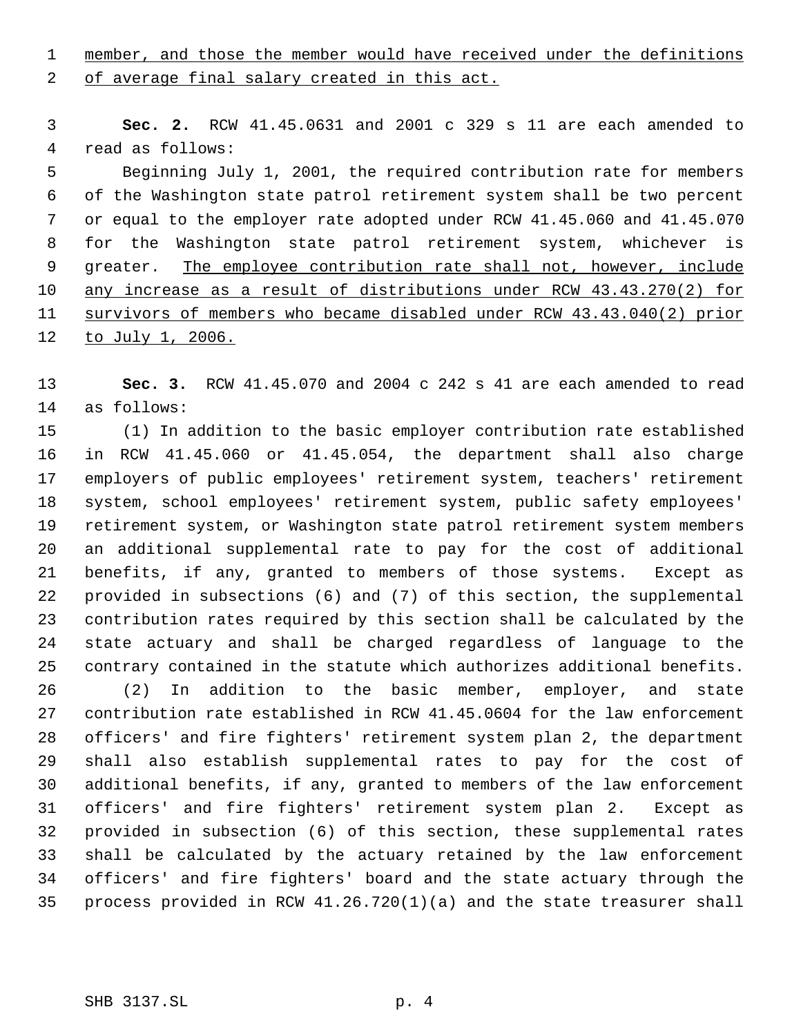1 member, and those the member would have received under the definitions

2 of average final salary created in this act.

 **Sec. 2.** RCW 41.45.0631 and 2001 c 329 s 11 are each amended to read as follows:

 Beginning July 1, 2001, the required contribution rate for members of the Washington state patrol retirement system shall be two percent or equal to the employer rate adopted under RCW 41.45.060 and 41.45.070 for the Washington state patrol retirement system, whichever is 9 greater. The employee contribution rate shall not, however, include any increase as a result of distributions under RCW 43.43.270(2) for survivors of members who became disabled under RCW 43.43.040(2) prior 12 to July 1, 2006.

 **Sec. 3.** RCW 41.45.070 and 2004 c 242 s 41 are each amended to read as follows:

 (1) In addition to the basic employer contribution rate established in RCW 41.45.060 or 41.45.054, the department shall also charge employers of public employees' retirement system, teachers' retirement system, school employees' retirement system, public safety employees' retirement system, or Washington state patrol retirement system members an additional supplemental rate to pay for the cost of additional benefits, if any, granted to members of those systems. Except as provided in subsections (6) and (7) of this section, the supplemental contribution rates required by this section shall be calculated by the state actuary and shall be charged regardless of language to the contrary contained in the statute which authorizes additional benefits.

 (2) In addition to the basic member, employer, and state contribution rate established in RCW 41.45.0604 for the law enforcement officers' and fire fighters' retirement system plan 2, the department shall also establish supplemental rates to pay for the cost of additional benefits, if any, granted to members of the law enforcement officers' and fire fighters' retirement system plan 2. Except as provided in subsection (6) of this section, these supplemental rates shall be calculated by the actuary retained by the law enforcement officers' and fire fighters' board and the state actuary through the process provided in RCW 41.26.720(1)(a) and the state treasurer shall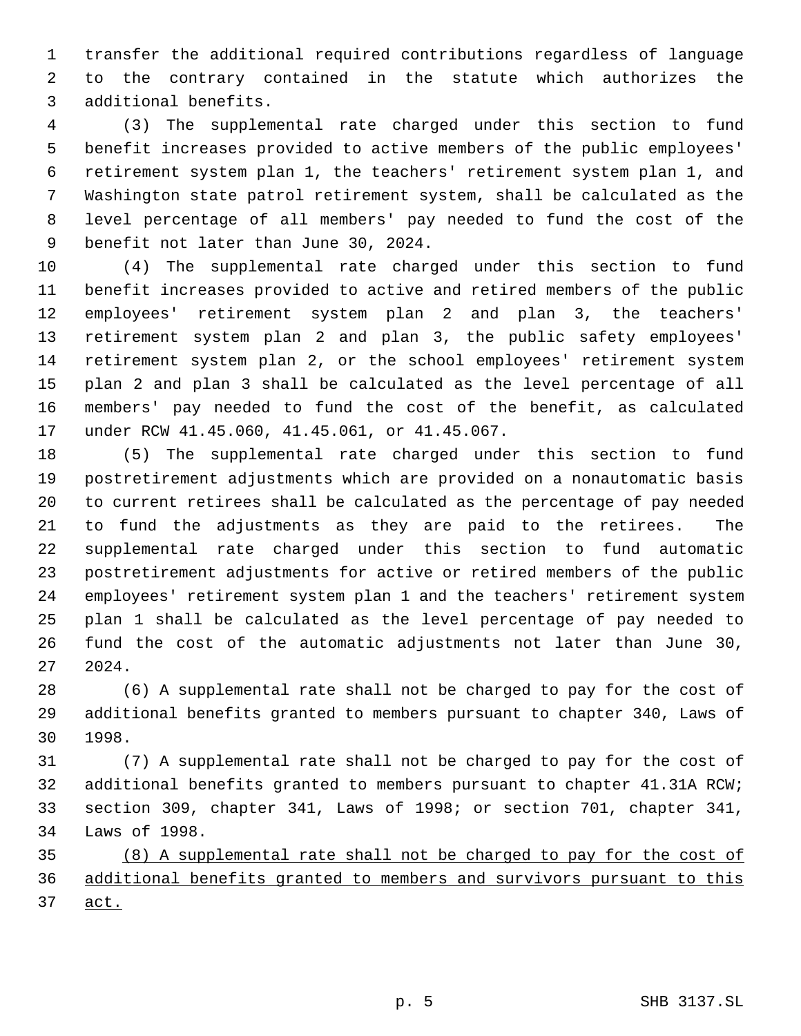transfer the additional required contributions regardless of language to the contrary contained in the statute which authorizes the additional benefits.

 (3) The supplemental rate charged under this section to fund benefit increases provided to active members of the public employees' retirement system plan 1, the teachers' retirement system plan 1, and Washington state patrol retirement system, shall be calculated as the level percentage of all members' pay needed to fund the cost of the benefit not later than June 30, 2024.

 (4) The supplemental rate charged under this section to fund benefit increases provided to active and retired members of the public employees' retirement system plan 2 and plan 3, the teachers' retirement system plan 2 and plan 3, the public safety employees' retirement system plan 2, or the school employees' retirement system plan 2 and plan 3 shall be calculated as the level percentage of all members' pay needed to fund the cost of the benefit, as calculated under RCW 41.45.060, 41.45.061, or 41.45.067.

 (5) The supplemental rate charged under this section to fund postretirement adjustments which are provided on a nonautomatic basis to current retirees shall be calculated as the percentage of pay needed to fund the adjustments as they are paid to the retirees. The supplemental rate charged under this section to fund automatic postretirement adjustments for active or retired members of the public employees' retirement system plan 1 and the teachers' retirement system plan 1 shall be calculated as the level percentage of pay needed to fund the cost of the automatic adjustments not later than June 30, 2024.

 (6) A supplemental rate shall not be charged to pay for the cost of additional benefits granted to members pursuant to chapter 340, Laws of 1998.

 (7) A supplemental rate shall not be charged to pay for the cost of additional benefits granted to members pursuant to chapter 41.31A RCW; section 309, chapter 341, Laws of 1998; or section 701, chapter 341, Laws of 1998.

 (8) A supplemental rate shall not be charged to pay for the cost of additional benefits granted to members and survivors pursuant to this act.